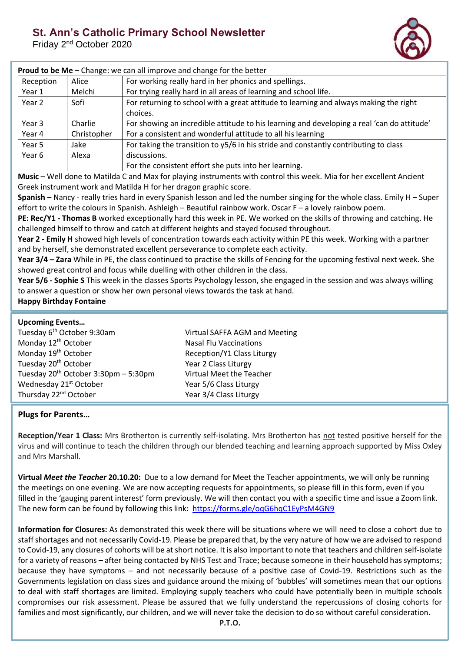## **St. Ann's Catholic Primary School Newsletter**

Friday 2<sup>nd</sup> October 2020



| <b>Proud to be Me - Change: we can all improve and change for the better</b> |             |                                                                                            |  |  |
|------------------------------------------------------------------------------|-------------|--------------------------------------------------------------------------------------------|--|--|
| Reception                                                                    | Alice       | For working really hard in her phonics and spellings.                                      |  |  |
| Year 1                                                                       | Melchi      | For trying really hard in all areas of learning and school life.                           |  |  |
| Year 2                                                                       | Sofi        | For returning to school with a great attitude to learning and always making the right      |  |  |
|                                                                              |             | choices.                                                                                   |  |  |
| Year 3                                                                       | Charlie     | For showing an incredible attitude to his learning and developing a real 'can do attitude' |  |  |
| Year 4                                                                       | Christopher | For a consistent and wonderful attitude to all his learning                                |  |  |
| Year 5                                                                       | Jake        | For taking the transition to y5/6 in his stride and constantly contributing to class       |  |  |
| Year 6                                                                       | Alexa       | discussions.                                                                               |  |  |
|                                                                              |             | For the consistent effort she puts into her learning.                                      |  |  |

**Music** – Well done to Matilda C and Max for playing instruments with control this week. Mia for her excellent Ancient Greek instrument work and Matilda H for her dragon graphic score.

**Spanish** – Nancy - really tries hard in every Spanish lesson and led the number singing for the whole class. Emily H – Super effort to write the colours in Spanish. Ashleigh – Beautiful rainbow work. Oscar F – a lovely rainbow poem.

**PE: Rec/Y1 - Thomas B** worked exceptionally hard this week in PE. We worked on the skills of throwing and catching. He challenged himself to throw and catch at different heights and stayed focused throughout.

**Year 2 - Emily H** showed high levels of concentration towards each activity within PE this week. Working with a partner and by herself, she demonstrated excellent perseverance to complete each activity.

**Year 3/4 – Zara** While in PE, the class continued to practise the skills of Fencing for the upcoming festival next week. She showed great control and focus while duelling with other children in the class.

**Year 5/6 - Sophie S** This week in the classes Sports Psychology lesson, she engaged in the session and was always willing to answer a question or show her own personal views towards the task at hand.

## **Happy Birthday Fontaine**

|  |  | <b>Upcoming Events</b> |
|--|--|------------------------|
|--|--|------------------------|

| Tuesday 6 <sup>th</sup> October 9:30am    | Virtual SAFFA AGM and Meeting |
|-------------------------------------------|-------------------------------|
| Monday 12 <sup>th</sup> October           | <b>Nasal Flu Vaccinations</b> |
| Monday 19 <sup>th</sup> October           | Reception/Y1 Class Liturgy    |
| Tuesday 20 <sup>th</sup> October          | Year 2 Class Liturgy          |
| Tuesday $20^{th}$ October 3:30pm - 5:30pm | Virtual Meet the Teacher      |
| Wednesday 21 <sup>st</sup> October        | Year 5/6 Class Liturgy        |
| Thursday 22 <sup>nd</sup> October         | Year 3/4 Class Liturgy        |

## **Plugs for Parents…**

**Reception/Year 1 Class:** Mrs Brotherton is currently self-isolating. Mrs Brotherton has not tested positive herself for the virus and will continue to teach the children through our blended teaching and learning approach supported by Miss Oxley and Mrs Marshall.

**Virtual** *Meet the Teacher* **20.10.20:** Due to a low demand for Meet the Teacher appointments, we will only be running the meetings on one evening. We are now accepting requests for appointments, so please fill in this form, even if you filled in the 'gauging parent interest' form previously. We will then contact you with a specific time and issue a Zoom link. The new form can be found by following this link:<https://forms.gle/oqG6hqC1EyPsM4GN9>

**Information for Closures:** As demonstrated this week there will be situations where we will need to close a cohort due to staff shortages and not necessarily Covid-19. Please be prepared that, by the very nature of how we are advised to respond to Covid-19, any closures of cohorts will be at short notice. It is also important to note that teachers and children self-isolate for a variety of reasons – after being contacted by NHS Test and Trace; because someone in their household has symptoms; because they have symptoms – and not necessarily because of a positive case of Covid-19. Restrictions such as the Governments legislation on class sizes and guidance around the mixing of 'bubbles' will sometimes mean that our options to deal with staff shortages are limited. Employing supply teachers who could have potentially been in multiple schools compromises our risk assessment. Please be assured that we fully understand the repercussions of closing cohorts for families and most significantly, our children, and we will never take the decision to do so without careful consideration.